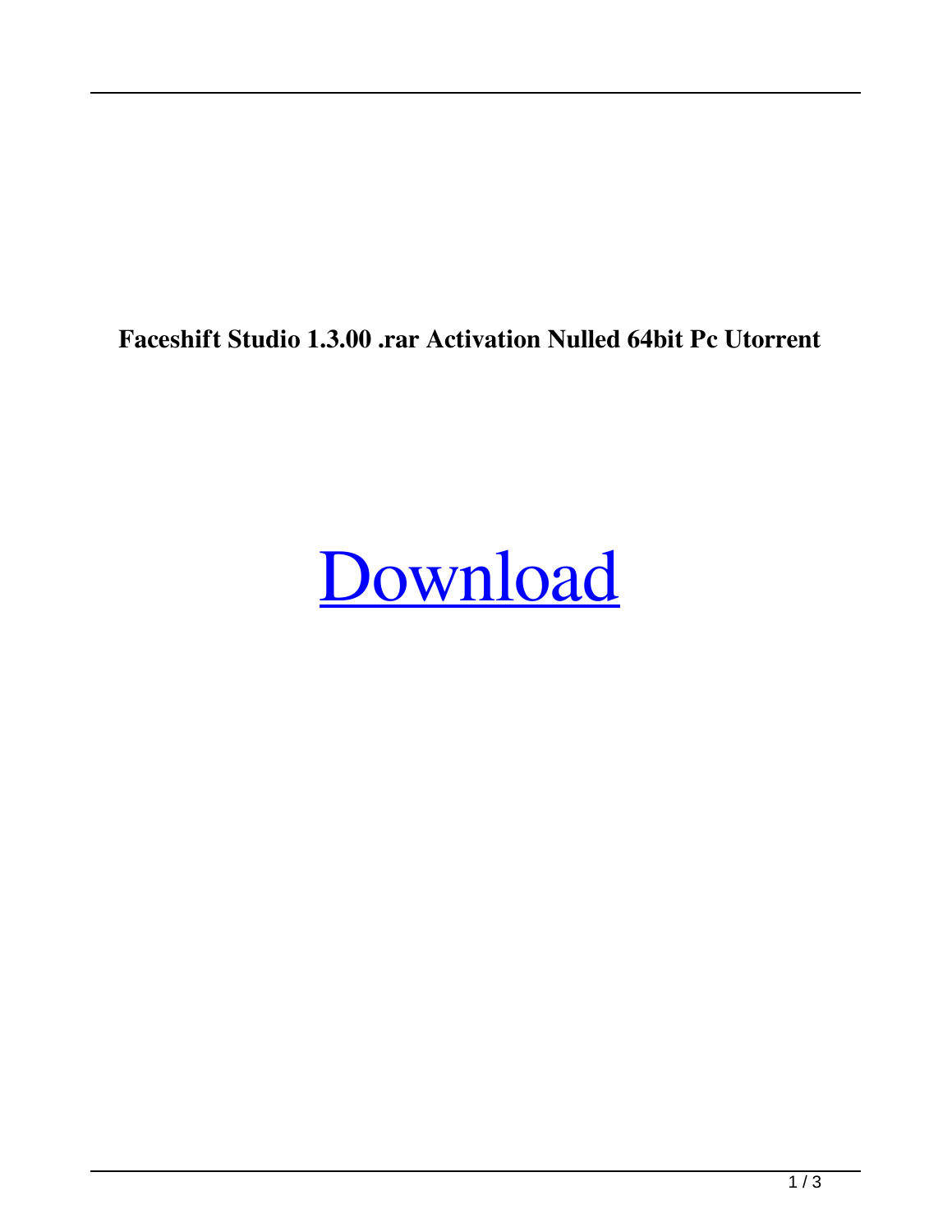**Faceshift Studio 1.3.00 .rar Activation Nulled 64bit Pc Utorrent**

## [Download](http://evacdir.com/marinin/RmFjZXNoaWZ0IFN0dWRpbyAxLjMuMDAgKDY0Yml0KQRmF/pesky/augmenting/marianne/ZG93bmxvYWR8UEg3Tm1WbmZId3hOalV5TnpRd09EWTJmSHd5TlRjMGZId29UU2tnY21WaFpDMWliRzluSUZ0R1lYTjBJRWRGVGww...)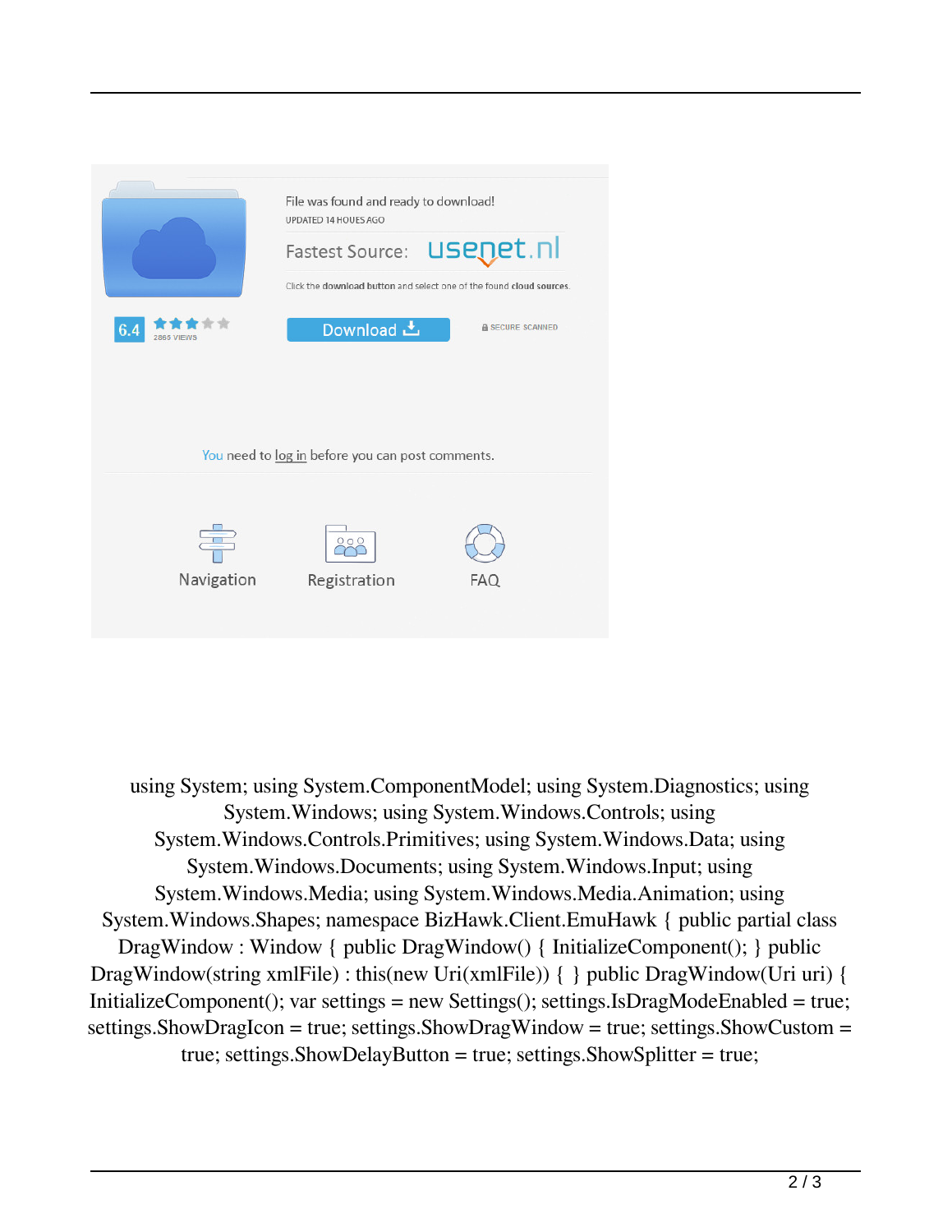

 using System; using System.ComponentModel; using System.Diagnostics; using System.Windows; using System.Windows.Controls; using System.Windows.Controls.Primitives; using System.Windows.Data; using System.Windows.Documents; using System.Windows.Input; using System.Windows.Media; using System.Windows.Media.Animation; using System.Windows.Shapes; namespace BizHawk.Client.EmuHawk { public partial class DragWindow : Window { public DragWindow() { InitializeComponent(); } public DragWindow(string xmlFile) : this(new Uri(xmlFile)) { } public DragWindow(Uri uri) { InitializeComponent(); var settings = new Settings(); settings.IsDragModeEnabled = true; settings.ShowDragIcon = true; settings.ShowDragWindow = true; settings.ShowCustom = true; settings.ShowDelayButton = true; settings.ShowSplitter = true;